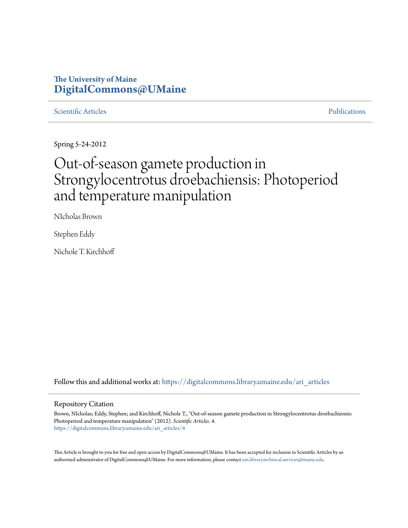### **The University of Maine [DigitalCommons@UMaine](https://digitalcommons.library.umaine.edu?utm_source=digitalcommons.library.umaine.edu%2Fari_articles%2F4&utm_medium=PDF&utm_campaign=PDFCoverPages)**

### [Scientific Articles](https://digitalcommons.library.umaine.edu/ari_articles?utm_source=digitalcommons.library.umaine.edu%2Fari_articles%2F4&utm_medium=PDF&utm_campaign=PDFCoverPages) [Publications](https://digitalcommons.library.umaine.edu/ari_publications?utm_source=digitalcommons.library.umaine.edu%2Fari_articles%2F4&utm_medium=PDF&utm_campaign=PDFCoverPages)

Spring 5-24-2012

# Out-of-season gamete production in Strongylocentrotus droebachiensis: Photoperiod and temperature manipulation

NIcholas Brown

Stephen Eddy

Nichole T. Kirchhoff

Follow this and additional works at: [https://digitalcommons.library.umaine.edu/ari\\_articles](https://digitalcommons.library.umaine.edu/ari_articles?utm_source=digitalcommons.library.umaine.edu%2Fari_articles%2F4&utm_medium=PDF&utm_campaign=PDFCoverPages)

#### Repository Citation

Brown, NIcholas; Eddy, Stephen; and Kirchhoff, Nichole T., "Out-of-season gamete production in Strongylocentrotus droebachiensis: Photoperiod and temperature manipulation" (2012). *Scientific Articles*. 4. [https://digitalcommons.library.umaine.edu/ari\\_articles/4](https://digitalcommons.library.umaine.edu/ari_articles/4?utm_source=digitalcommons.library.umaine.edu%2Fari_articles%2F4&utm_medium=PDF&utm_campaign=PDFCoverPages)

This Article is brought to you for free and open access by DigitalCommons@UMaine. It has been accepted for inclusion in Scientific Articles by an authorized administrator of DigitalCommons@UMaine. For more information, please contact [um.library.technical.services@maine.edu.](mailto:um.library.technical.services@maine.edu)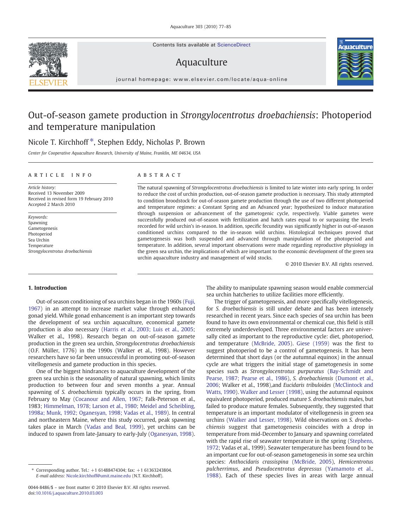Contents lists available at ScienceDirect

## Aquaculture



journal homepage: www.elsevier.com/locate/aqua-online

## Out-of-season gamete production in Strongylocentrotus droebachiensis: Photoperiod and temperature manipulation

### Nicole T. Kirchhoff<sup>\*</sup>, Stephen Eddy, Nicholas P. Brown

Center for Cooperative Aquaculture Research, University of Maine, Franklin, ME 04634, USA

#### article info abstract

Article history: Received 13 November 2009 Received in revised form 19 February 2010 Accepted 2 March 2010

Keywords: Spawning Gametogenesis Photoperiod Sea Urchin Temperature Strongylocentrotus droebachiensis

The natural spawning of Strongylocentrotus droebachiensis is limited to late winter into early spring. In order to reduce the cost of urchin production, out-of-season gamete production is necessary. This study attempted to condition broodstock for out-of-season gamete production through the use of two different photoperiod and temperature regimes: a Constant Spring and an Advanced year; hypothesized to induce maturation through suspension or advancement of the gametogenic cycle, respectively. Viable gametes were successfully produced out-of-season with fertilization and hatch rates equal to or surpassing the levels recorded for wild urchin's in-season. In addition, specific fecundity was significantly higher in out-of-season conditioned urchins compared to the in-season wild urchins. Histological techniques proved that gametogenesis was both suspended and advanced through manipulation of the photoperiod and temperature. In addition, several important observations were made regarding reproductive physiology in the green sea urchin, the implications of which are important to the economic development of the green sea urchin aquaculture industry and management of wild stocks.

© 2010 Elsevier B.V. All rights reserved.

#### 1. Introduction

Out-of season conditioning of sea urchins began in the 1960s [\(Fuji,](#page-8-0) [1967\)](#page-8-0) in an attempt to increase market value through enhanced gonad yield. While gonad enhancement is an important step towards the development of sea urchin aquaculture, economical gamete production is also necessary ([Harris et al., 2003; Luis et al., 2005;](#page-8-0) Walker et al., 1998). Research began on out-of-season gamete production in the green sea urchin, Strongylocentrotus droebachiensis (O.F. Müller, 1776) in the 1990s (Walker et al., 1998). However researchers have so far been unsuccessful in promoting out-of-season vitellogenesis and gamete production in this species.

One of the biggest hindrances to aquaculture development of the green sea urchin is the seasonality of natural spawning, which limits production to between four and seven months a year. Annual spawning of S. droebachiensis typically occurs in the spring, from February to May [\(Cocanour and Allen, 1967](#page-8-0); Falk-Peterson et al., 1983; [Himmelman, 1978; Larson et al., 1980; Meidel and Scheibling,](#page-8-0) [1998a; Munk, 1992; Oganesyan, 1998; Vadas et al., 1989\)](#page-8-0). In central and northeastern Maine, where this study occurred, peak spawning takes place in March [\(Vadas and Beal, 1999\)](#page-9-0), yet urchins can be induced to spawn from late-January to early-July [\(Oganesyan, 1998](#page-9-0)). The ability to manipulate spawning season would enable commercial sea urchin hatcheries to utilize facilities more efficiently.

The trigger of gametogenesis, and more specifically vitellogenesis, for S. droebachiensis is still under debate and has been intensely researched in recent years. Since each species of sea urchin has been found to have its own environmental or chemical cue, this field is still extremely underdeveloped. Three environmental factors are universally cited as important to the reproductive cycle: diet, photoperiod, and temperature ([McBride, 2005\)](#page-8-0). [Giese \(1959\)](#page-8-0) was the first to suggest photoperiod to be a control of gametogenesis. It has been determined that short days (or the autumnal equinox) in the annual cycle are what triggers the initial stage of gametogenesis in some species such as Strongylocentrotus purpuratus [\(Bay-Schmidt and](#page-8-0) [Pearse, 1987; Pearse et al., 1986](#page-8-0)), S. droebachiensis [\(Dumont et al.,](#page-8-0) [2006;](#page-8-0) Walker et al., 1998),and Eucidaris tribuloides [\(McClintock and](#page-8-0) [Watts, 1990](#page-8-0)). [Walker and Lesser \(1998\),](#page-9-0) using the autumnal equinox equivalent photoperiod, produced mature S. droebachiensis males, but failed to produce mature females. Subsequently, they suggested that temperature is an important modulator of vitellogenesis in green sea urchins [\(Walker and Lesser, 1998](#page-9-0)). Wild observations on S. droebachiensis suggest that gametogenesis coincides with a drop in temperature from mid-December to January and spawning correlated with the rapid rise of seawater temperature in the spring ([Stephens,](#page-9-0) [1972;](#page-9-0) Vadas et al., 1999). Seawater temperature has been found to be an important cue for out-of-season gametogenesis in some sea urchin species: Anthocidaris crassispina ([McBride, 2005](#page-8-0)), Hemicentrotus pulcherrimus, and Pseudocentrotus depressus ([Yamamoto et al.,](#page-9-0) [1988](#page-9-0)). Each of these species lives in areas with large annual

<sup>⁎</sup> Corresponding author. Tel.: +1 61488474304; fax: +1 61363243804. E-mail address: [Nicole.kirchhoff@umit.maine.edu](mailto:Nicole.kirchhoff@umit.maine.edu) (N.T. Kirchhoff).

<sup>0044-8486/\$</sup> – see front matter © 2010 Elsevier B.V. All rights reserved. doi:[10.1016/j.aquaculture.2010.03.003](http://dx.doi.org/10.1016/j.aquaculture.2010.03.003)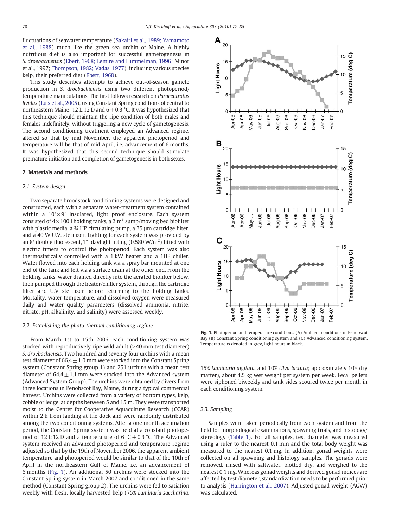fluctuations of seawater temperature [\(Sakairi et al., 1989; Yamamoto](#page-9-0) [et al., 1988\)](#page-9-0) much like the green sea urchin of Maine. A highly nutritious diet is also important for successful gametogenesis in S. droebachiensis [\(Ebert, 1968; Lemire and Himmelman, 1996](#page-8-0); Minor et al., 1997; [Thompson, 1982; Vadas, 1977\)](#page-9-0), including various species kelp, their preferred diet ([Ebert, 1968](#page-8-0)).

This study describes attempts to achieve out-of-season gamete production in S. droebachiensis using two different photoperiod/ temperature manipulations. The first follows research on Paracentrotus lividus [\(Luis et al., 2005\)](#page-8-0), using Constant Spring conditions of central to northeastern Maine: 12 L:12 D and  $6 \pm 0.3$  °C. It was hypothesized that this technique should maintain the ripe condition of both males and females indefinitely, without triggering a new cycle of gametogenesis. The second conditioning treatment employed an Advanced regime, altered so that by mid November, the apparent photoperiod and temperature will be that of mid April, i.e. advancement of 6 months. It was hypothesized that this second technique should stimulate premature initiation and completion of gametogenesis in both sexes.

#### 2. Materials and methods

#### 2.1. System design

Two separate broodstock conditioning systems were designed and constructed, each with a separate water-treatment system contained within a  $10' \times 9'$  insulated, light proof enclosure. Each system consisted of  $4 \times 100$  l holding tanks, a 2 m<sup>3</sup> sump/moving bed biofilter with plastic media, a 34 HP circulating pump, a 35 µm cartridge filter, and a 40 W U.V. sterilizer. Lighting for each system was provided by an 8' double fluorescent, T1 daylight fitting (0.580  $W/m<sup>2</sup>$ ) fitted with electric timers to control the photoperiod. Each system was also thermostatically controlled with a 1 kW heater and a 1HP chiller. Water flowed into each holding tank via a spray bar mounted at one end of the tank and left via a surface drain at the other end. From the holding tanks, water drained directly into the aerated biofilter below, then pumped through the heater/chiller system, through the cartridge filter and U.V sterilizer before returning to the holding tanks. Mortality, water temperature, and dissolved oxygen were measured daily and water quality parameters (dissolved ammonia, nitrite, nitrate, pH, alkalinity, and salinity) were assessed weekly.

#### 2.2. Establishing the photo-thermal conditioning regime

From March 1st to 15th 2006, each conditioning system was stocked with reproductively ripe wild adult  $(>40$  mm test diameter) S. droebachiensis. Two hundred and seventy four urchins with a mean test diameter of  $66.4 \pm 1.0$  mm were stocked into the Constant Spring system (Constant Spring group 1) and 251 urchins with a mean test diameter of  $64.4 \pm 1.1$  mm were stocked into the Advanced system (Advanced System Group). The urchins were obtained by divers from three locations in Penobscot Bay, Maine, during a typical commercial harvest. Urchins were collected from a variety of bottom types, kelp, cobble or ledge, at depths between 5 and 15 m. They were transported moist to the Center for Cooperative Aquaculture Research (CCAR) within 2 h from landing at the dock and were randomly distributed among the two conditioning systems. After a one month acclimation period, the Constant Spring system was held at a constant photoperiod of 12 L:12 D and a temperature of 6 °C  $\pm$  0.3 °C. The Advanced system received an advanced photoperiod and temperature regime adjusted so that by the 19th of November 2006, the apparent ambient temperature and photoperiod would be similar to that of the 10th of April in the northeastern Gulf of Maine, i.e. an advancement of 6 months (Fig. 1). An additional 50 urchins were stocked into the Constant Spring system in March 2007 and conditioned in the same method (Constant Spring group 2). The urchins were fed to satiation weekly with fresh, locally harvested kelp (75% Laminaria saccharina,



Fig. 1. Photoperiod and temperature conditions. (A) Ambient conditions in Penobscot Bay (B) Constant Spring conditioning system and (C) Advanced conditioning system. Temperature is denoted in grey, light hours in black.

15% Laminaria digitata, and 10% Ulva lactuca; approximately 10% dry matter), about 4.5 kg wet weight per system per week. Fecal pellets were siphoned biweekly and tank sides scoured twice per month in each conditioning system.

#### 2.3. Sampling

Samples were taken periodically from each system and from the field for morphological examinations, spawning trials, and histology/ stereology ([Table 1](#page-3-0)). For all samples, test diameter was measured using a ruler to the nearest 0.1 mm and the total body weight was measured to the nearest 0.1 mg. In addition, gonad weights were collected on all spawning and histology samples. The gonads were removed, rinsed with saltwater, blotted dry, and weighed to the nearest 0.1 mg. Whereas gonad weights and derived gonad indices are affected by test diameter, standardization needs to be performed prior to analysis ([Harrington et al., 2007](#page-8-0)). Adjusted gonad weight (AGW) was calculated.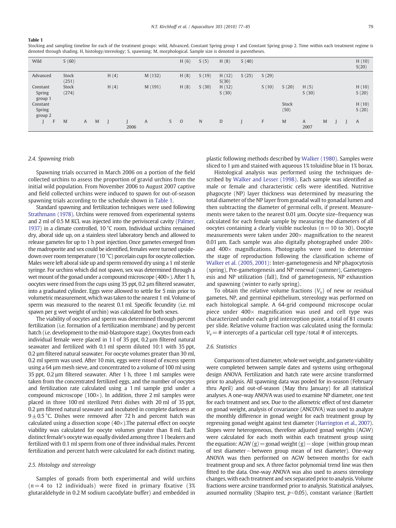#### <span id="page-3-0"></span>Table 1

Stocking and sampling timeline for each of the treatment groups: wild, Advanced, Constant Spring group 1 and Constant Spring group 2. Time within each treatment regime is denoted through shading. H, histology/stereology; S, spawning; M, morphological. Sample size is denoted in parentheses.

| Wild                          | S(60)          |   |   |      |      |         |   | H(6)           | S(5)        | H(8)           | S(40) |       |               |               |   |  | H(10)<br>S(20) |
|-------------------------------|----------------|---|---|------|------|---------|---|----------------|-------------|----------------|-------|-------|---------------|---------------|---|--|----------------|
| Advanced                      | Stock<br>(251) |   |   | H(4) |      | M (132) |   | H(8)           | S(19)       | H(12)<br>S(30) | S(25) | S(29) |               |               |   |  |                |
| Constant<br>Spring<br>group 1 | Stock<br>(274) |   |   | H(4) |      | M (191) |   | H(8)           | S(30)       | H(12)<br>S(30) |       | S(10) | S(20)         | H(5)<br>S(30) |   |  | H(10)<br>S(20) |
| Constant<br>Spring<br>group 2 |                |   |   |      |      |         |   |                |             |                |       |       | Stock<br>(50) |               |   |  | H(10)<br>S(20) |
| F                             | M              | A | M |      | 2006 | A       | S | $\overline{0}$ | $\mathbf N$ | D              |       | F     | M             | A<br>2007     | M |  | A              |

#### 2.4. Spawning trials

Spawning trials occurred in March 2006 on a portion of the field collected urchins to assess the proportion of gravid urchins from the initial wild population. From November 2006 to August 2007 captive and field collected urchins were induced to spawn for out-of-season spawning trials according to the schedule shown in Table 1.

Standard spawning and fertilization techniques were used following [Strathmann \(1978\)](#page-9-0). Urchins were removed from experimental systems and 2 ml of 0.5 M KCL was injected into the perivisceral cavity [\(Palmer,](#page-9-0) [1937\)](#page-9-0) in a climate controlled, 10 °C room. Individual urchins remained dry, aboral side up, on a stainless steel laboratory bench and allowed to release gametes for up to 1 h post injection. Once gametes emerged from the madroporite and sex could be identified, females were turned upsidedown over room temperature (10 °C) porcelain cups for oocyte collection. Males were left aboral side up and sperm removed dry using a 1 ml sterile syringe. For urchins which did not spawn, sex was determined through a wet mount of the gonad under a compound microscope  $(400\times)$ . After 1 h, oocytes were rinsed from the cups using 35 ppt, 0.2 µm filtered seawater, into a graduated cylinder. Eggs were allowed to settle for 5 min prior to volumetric measurement, which was taken to the nearest 1 ml. Volume of sperm was measured to the nearest 0.1 ml. Specific fecundity (i.e. ml spawn per g wet weight of urchin) was calculated for both sexes.

The viability of oocytes and sperm was determined through percent fertilization (i.e. formation of a fertilization membrane) and by percent hatch (i.e. development to the mid-blastopore stage). Oocytes from each individual female were placed in 1 l of 35 ppt, 0.2 µm filtered natural seawater and fertilized with 0.1 ml sperm diluted 10:1 with 35 ppt, 0.2 µm filtered natural seawater. For oocyte volumes greater than 30 ml, 0.2 ml sperm was used. After 10 min, eggs were rinsed of excess sperm using a 64 µm mesh sieve, and concentrated to a volume of 100 ml using 35 ppt, 0.2 µm filtered seawater. After 1 h, three 1 ml samples were taken from the concentrated fertilized eggs, and the number of oocytes and fertilization rate calculated using a 1 ml sample grid under a compound microscope (100 $\times$ ). In addition, three 2 ml samples were placed in three 100 ml sterilized Petri dishes with 20 ml of 35 ppt, 0.2 µm filtered natural seawater and incubated in complete darkness at  $9\pm0.5$  °C. Dishes were removed after 72 h and percent hatch was calculated using a dissection scope  $(40\times)$ . The paternal effect on oocyte viability was calculated for oocyte volumes greater than 8 ml. Each distinct female's oocyte was equally divided among three 1 l beakers and fertilized with 0.1 ml sperm from one of three individual males. Percent fertilization and percent hatch were calculated for each distinct mating.

#### 2.5. Histology and stereology

Samples of gonads from both experimental and wild urchins  $(n=4$  to 12 individuals) were fixed in primary fixative (3%) glutaraldehyde in 0.2 M sodium cacodylate buffer) and embedded in

plastic following methods described by [Walker \(1980\)](#page-9-0). Samples were sliced to 1 µm and stained with aqueous 1% toluidine blue in 1% borax.

Histological analysis was performed using the techniques described by [Walker and Lesser \(1998\).](#page-9-0) Each sample was identified as male or female and characteristic cells were identified. Nutritive phagocyte (NP) layer thickness was determined by measuring the total diameter of the NP layer from gonadal wall to gonadal lumen and then subtracting the diameter of germinal cells, if present. Measurements were taken to the nearest 0.01 µm. Oocyte size–frequency was calculated for each female sample by measuring the diameters of all oocytes containing a clearly visible nucleolus ( $n=10$  to 30). Oocyte measurements were taken under 200× magnification to the nearest 0.01  $\mu$ m. Each sample was also digitally photographed under 200 $\times$ and  $400\times$  magnifications. Photographs were used to determine the stage of reproduction following the classification scheme of [Walker et al. \(2005, 2001\)](#page-9-0): Inter-gametogenesis and NP phagocytosis (spring), Pre-gametogenesis and NP renewal (summer), Gametogenesis and NP utilization (fall), End of gametogenesis, NP exhaustion and spawning (winter to early spring).

To obtain the relative volume fractions  $(V_v)$  of new or residual gametes, NP, and germinal epithelium, stereology was performed on each histological sample. A 64-grid compound microscope ocular piece under  $400\times$  magnification was used and cell type was characterized under each grid interception point, a total of 81 counts per slide. Relative volume fraction was calculated using the formula:  $V_v=$ # intercepts of a particular cell type/total # of intercepts.

#### 2.6. Statistics

Comparisons of test diameter, whole wet weight, and gamete viability were completed between sample dates and systems using orthogonal design ANOVA. Fertilization and hatch rate were arcsine transformed prior to analysis. All spawning data was pooled for in-season (February thru April) and out-of-season (May thru January) for all statistical analyses. A one-way ANOVA was used to examine NP diameter, one test for each treatment and sex. Due to the allometric effect of test diameter on gonad weight, analysis of covariance (ANCOVA) was used to analyze the monthly difference in gonad weight for each treatment group by regressing gonad weight against test diameter ([Harrington et al., 2007](#page-8-0)). Slopes were heterogeneous, therefore adjusted gonad weights (AGW) were calculated for each moth within each treatment group using the equation: AGW (g) = gonad weight (g) – slope (within group mean of test diameter−between group mean of test diameter). One-way ANOVA was then performed on AGW between months for each treatment group and sex. A three factor polynomial trend line was then fitted to the data. One-way ANOVA was also used to assess stereology changes, with each treatment and sex separated prior to analysis. Volume fractions were arcsine transformed prior to analysis. Statistical analyses, assumed normality (Shapiro test,  $p<0.05$ ), constant variance (Bartlett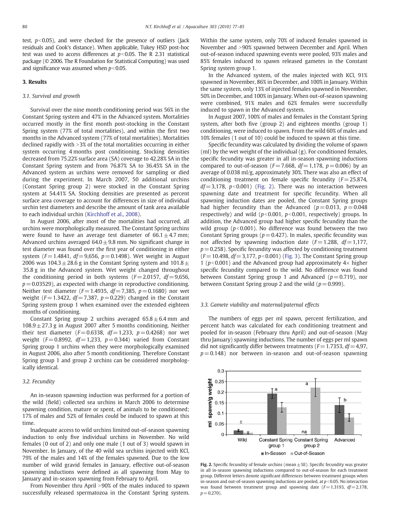test,  $p<0.05$ ), and were checked for the presence of outliers (Jack residuals and Cook's distance). When applicable, Tukey HSD post-hoc test was used to access differences at  $p<0.05$ . The R 2.31 statistical package (© 2006. The R Foundation for Statistical Computing) was used and significance was assumed when  $p<0.05$ .

#### 3. Results

#### 3.1. Survival and growth

Survival over the nine month conditioning period was 56% in the Constant Spring system and 47% in the Advanced system. Mortalities occurred mostly in the first month post-stocking in the Constant Spring system (77% of total mortalities), and within the first two months in the Advanced system (77% of total mortalities). Mortalities declined rapidly with  $>3\%$  of the total mortalities occurring in either system occurring 4 months post conditioning. Stocking densities decreased from 75.22% surface area (SA) coverage to 42.28% SA in the Constant Spring system and from 76.87% SA to 36.45% SA in the Advanced system as urchins were removed for sampling or died during the experiment. In March 2007, 50 additional urchins (Constant Spring group 2) were stocked in the Constant Spring system at 54.41% SA. Stocking densities are presented as percent surface area coverage to account for differences in size of individual urchin test diameters and describe the amount of tank area available to each individual urchin [\(Kirchhoff et al., 2008](#page-8-0)).

In August 2006, after most of the mortalities had occurred, all urchins were morphologically measured. The Constant Spring urchins were found to have an average test diameter of  $66.1 \pm 4.7$  mm; Advanced urchins averaged  $64.0 \pm 9.8$  mm. No significant change in test diameter was found over the first year of conditioning in either system ( $F = 1.4841$ ,  $df = 9.656$ ,  $p = 0.1498$ ). Wet weight in August 2006 was  $104.3 \pm 28.6$  g in the Constant Spring system and  $101.8 \pm 10.6$ 35.8 g in the Advanced system. Wet weight changed throughout the conditioning period in both systems ( $F = 2.0157$ ,  $df = 9.656$ ,  $p = 0.03529$ ), as expected with change in reproductive conditioning. Neither test diameter ( $F = 1.4935$ ,  $df = 7.385$ ,  $p = 0.1680$ ) nor wet weight ( $F= 1.3422$ ,  $df= 7.387$ ,  $p= 0.229$ ) changed in the Constant Spring system group 1 when examined over the extended eighteen months of conditioning.

Constant Spring group 2 urchins averaged  $65.8 \pm 6.4$  mm and  $108.9 \pm 27.3$  g in August 2007 after 5 months conditioning. Neither their test diameter ( $F = 0.6338$ ,  $df = 1.233$ ,  $p = 0.4268$ ) nor wet weight ( $F = 0.8992$ ,  $df = 1.233$ ,  $p = 0.344$ ) varied from Constant Spring group 1 urchins when they were morphologically examined in August 2006, also after 5 month conditioning. Therefore Constant Spring group 1 and group 2 urchins can be considered morphologically identical.

#### 3.2. Fecundity

An in-season spawning induction was performed for a portion of the wild (field) collected sea urchins in March 2006 to determine spawning condition, mature or spent, of animals to be conditioned; 17% of males and 52% of females could be induced to spawn at this time.

Inadequate access to wild urchins limited out-of-season spawning induction to only five individual urchins in November. No wild females (0 out of 2) and only one male (1 out of 3) would spawn in November. In January, of the 40 wild sea urchins injected with KCl, 79% of the males and 14% of the females spawned. Due to the low number of wild gravid females in January, effective out-of-season spawning inductions were defined as all spawning from May to January and in-season spawning from February to April.

From November thru April >90% of the males induced to spawn successfully released spermatozoa in the Constant Spring system. Within the same system, only 70% of induced females spawned in November and  $>90\%$  spawned between December and April. When out-of-season induced spawning events were pooled, 93% males and 85% females induced to spawn released gametes in the Constant Spring system group 1.

In the Advanced system, of the males injected with KCl, 91% spawned in November, 86% in December, and 100% in January. Within the same system, only 13% of injected females spawned in November, 50% in December, and 100% in January. When out-of-season spawning were combined, 91% males and 62% females were successfully induced to spawn in the Advanced system.

In August 2007, 100% of males and females in the Constant Spring system, after both five (group 2) and eighteen months (group 1) conditioning, were induced to spawn. From the wild 60% of males and 10% females (1 out of 10) could be induced to spawn at this time.

Specific fecundity was calculated by dividing the volume of spawn (ml) by the wet weight of the individual (g). For conditioned females, specific fecundity was greater in all in-season spawning inductions compared to out-of-season ( $F = 7.668$ ,  $df = 1.178$ ,  $p = 0.006$ ) by an average of 0.038 ml/g, approximately 30%. There was also an effect of conditioning treatment on female specific fecundity  $(F= 25.874,$  $df = 3.178$ ,  $p < 0.001$ ) (Fig. 2). There was no interaction between spawning date and treatment for specific fecundity. When all spawning induction dates are pooled, the Constant Spring groups had higher fecundity than the Advanced ( $p = 0.013$ ,  $p = 0.048$ ) respectively) and wild ( $p<0.001$ ,  $p<0.001$ , respectively) groups. In addition, the Advanced group had higher specific fecundity than the wild group ( $p<0.001$ ). No difference was found between the two Constant Spring groups ( $p = 0.427$ ). In males, specific fecundity was not affected by spawning induction date  $(F= 1.288, df= 1.177,$  $p = 0.258$ ). Specific fecundity was affected by conditioning treatment  $(F = 10.498, df = 3,177, p < 0.001)$  ([Fig. 3\)](#page-5-0). The Constant Spring group 1 ( $p<0.001$ ) and the Advanced group had approximately  $4\times$  higher specific fecundity compared to the wild. No difference was found between Constant Spring group 1 and Advanced ( $p = 0.719$ ), nor between Constant Spring group 2 and the wild ( $p = 0.999$ ).

#### 3.3. Gamete viability and maternal/paternal effects

The numbers of eggs per ml spawn, percent fertilization, and percent hatch was calculated for each conditioning treatment and pooled for in-season (February thru April) and out-of-season (May thru January) spawning inductions. The number of eggs per ml spawn did not significantly differ between treatments ( $F = 1.7353$ ,  $df = 4.97$ ,  $p = 0.148$ ) nor between in-season and out-of-season spawning



Fig. 2. Specific fecundity of female urchins (mean  $\pm$  SE). Specific fecundity was greater in all in-season spawning inductions compared to out-of-season for each treatment group. Different letters denote significant differences between treatment groups when in-season and out-of-season spawning inductions are pooled, at  $p<$  0.05. No interaction was found between treatment group and spawning date  $(F= 1.3193, df= 2.178,$  $p = 0.270$ ).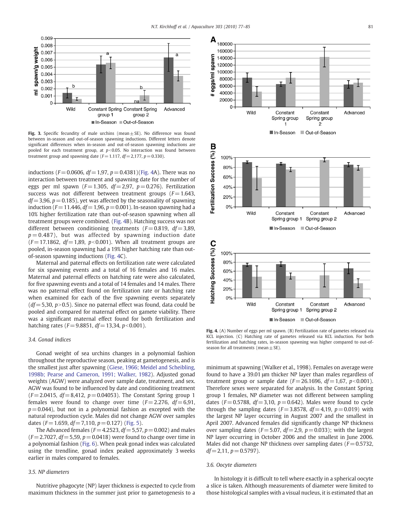<span id="page-5-0"></span>

Fig. 3. Specific fecundity of male urchins (mean $\pm$  SE). No difference was found between in-season and out-of-season spawning inductions. Different letters denote significant differences when in-season and out-of-season spawning inductions are pooled for each treatment group, at  $p<0.05$ . No interaction was found between treatment group and spawning date  $(F= 1.117, df= 2.177, p= 0.330)$ .

inductions ( $F = 0.0606$ ,  $df = 1.97$ ,  $p = 0.4381$ )(Fig. 4A). There was no interaction between treatment and spawning date for the number of eggs per ml spawn ( $F = 1.305$ ,  $df = 2.97$ ,  $p = 0.276$ ). Fertilization success was not different between treatment groups ( $F= 1.643$ ,  $df = 3.96$ ,  $p = 0.185$ ), yet was affected by the seasonality of spawning induction ( $F = 11.446$ ,  $df = 1.96$ ,  $p = 0.001$ ). In-season spawning had a 10% higher fertilization rate than out-of-season spawning when all treatment groups were combined. (Fig. 4B). Hatching success was not different between conditioning treatments ( $F = 0.819$ ,  $df = 3.89$ ,  $p = 0.487$ ), but was affected by spawning induction date  $(F = 17.1862, df = 1,89, p<0.001)$ . When all treatment groups are pooled, in-season spawning had a 19% higher hatching rate than outof-season spawning inductions (Fig. 4C).

Maternal and paternal effects on fertilization rate were calculated for six spawning events and a total of 16 females and 16 males. Maternal and paternal effects on hatching rate were also calculated, for five spawning events and a total of 14 females and 14 males. There was no paternal effect found on fertilization rate or hatching rate when examined for each of the five spawning events separately  $(df= 5,30, p>0.5)$ . Since no paternal effect was found, data could be pooled and compared for maternal effect on gamete viability. There was a significant maternal effect found for both fertilization and hatching rates ( $F = 9.8851$ ,  $df = 13.34$ ,  $p < 0.001$ ).

#### 3.4. Gonad indices

Gonad weight of sea urchins changes in a polynomial fashion throughout the reproductive season, peaking at gametogenesis, and is the smallest just after spawning ([Giese, 1966; Meidel and Scheibling,](#page-8-0) [1998b; Pearse and Cameron, 1991; Walker, 1982\)](#page-8-0). Adjusted gonad weights (AGW) were analyzed over sample date, treatment, and sex. AGW was found to be influenced by date and conditioning treatment  $(F = 2.0415, df = 8,412, p = 0.04053)$ . The Constant Spring group 1 females were found to change over time  $(F= 2.276, df = 6.91,$  $p = 0.044$ ), but not in a polynomial fashion as excepted with the natural reproduction cycle. Males did not change AGW over samples dates ( $F = 1.659$ ,  $df = 7.110$ ,  $p = 0.127$ ) [\(Fig. 5\)](#page-6-0).

The Advanced females ( $F = 4.2523$ ,  $df = 5.57$ ,  $p = 0.002$ ) and males  $(F = 2.7027, df = 5.59, p = 0.0418)$  were found to change over time in a polynomial fashion ([Fig. 6\)](#page-6-0). When peak gonad index was calculated using the trendline, gonad index peaked approximately 3 weeks earlier in males compared to females.

#### 3.5. NP diameters

Nutritive phagocyte (NP) layer thickness is expected to cycle from maximum thickness in the summer just prior to gametogenesis to a



Fig. 4. (A) Number of eggs per ml spawn. (B) Fertilization rate of gametes released via KCL injection. (C) Hatching rate of gametes released via KCL induction. For both fertilization and hatching rates, in-season spawning was higher compared to out-ofseason for all treatments (mean  $\pm$  SE).

minimum at spawning (Walker et al., 1998). Females on average were found to have a 39.01 μm thicker NP layer than males regardless of treatment group or sample date  $(F = 26.1696, df = 1,67, p < 0.001)$ . Therefore sexes were separated for analysis. In the Constant Spring group 1 females, NP diameter was not different between sampling dates ( $F = 0.5788$ ,  $df = 3,10$ ,  $p = 0.642$ ). Males were found to cycle through the sampling dates ( $F= 3.8578$ ,  $df= 4.19$ ,  $p= 0.019$ ) with the largest NP layer occurring in August 2007 and the smallest in April 2007. Advanced females did significantly change NP thickness over sampling dates ( $F = 5.07$ ,  $df = 2.9$ ,  $p = 0.033$ ); with the largest NP layer occurring in October 2006 and the smallest in June 2006. Males did not change NP thickness over sampling dates ( $F = 0.5732$ ,  $df = 2,11, p = 0.5797$ .

#### 3.6. Oocyte diameters

In histology it is difficult to tell where exactly in a spherical oocyte a slice is taken. Although measurements of diameter were limited to those histological samples with a visual nucleus, it is estimated that an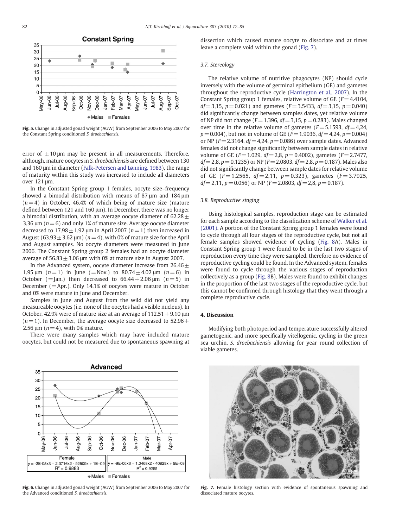<span id="page-6-0"></span>

Fig. 5. Change in adjusted gonad weight (AGW) from September 2006 to May 2007 for the Constant Spring conditioned S. droebachiensis.

error of  $\pm 10 \mu m$  may be present in all measurements. Therefore, although, mature oocytes in S. droebachiensis are defined between 130 and 160 μm in diameter [\(Falk-Petersen and Lønning, 1983](#page-8-0)), the range of maturity within this study was increased to include all diameters over 121 μm.

In the Constant Spring group 1 females, oocyte size–frequency showed a bimodal distribution with means of 87 um and 184 um  $(n= 4)$  in October, 46.4% of which being of mature size (mature defined between 121 and 160 μm). In December, there was no longer a bimodal distribution, with an average oocyte diameter of  $62.28 \pm$ 3.36  $\mu$ m ( $n= 6$ ) and only 1% of mature size. Average oocyte diameter decreased to  $17.98 \pm 1.92$  μm in April 2007 ( $n = 1$ ) then increased in August (63.93  $\pm$  3.62 μm) (n = 4), with 0% of mature size for the April and August samples. No oocyte diameters were measured in June 2006. The Constant Spring group 2 females had an oocyte diameter average of  $56.83 \pm 3.06$  μm with 0% at mature size in August 2007.

In the Advanced system, oocyte diameter increase from  $26.46 \pm$ 1.95 μm  $(n=1)$  in June (=Nov.) to 80.74  $\pm$  4.02 μm  $(n=6)$  in October (= Jan.) then decreased to  $66.44 \pm 2.06$  µm ( $n=5$ ) in December ( $=$ Apr.). Only 14.1% of oocytes were mature in October and 0% were mature in June and December.

Samples in June and August from the wild did not yield any measureable oocytes (i.e. none of the oocytes had a visible nucleus). In October, 42.9% were of mature size at an average of  $112.51 \pm 9.10$  µm  $(n= 1)$ . In December, the average oocyte size decreased to 52.96 $\pm$ 2.56  $\mu$ m ( $n = 4$ ), with 0% mature.

There were many samples which may have included mature oocytes, but could not be measured due to spontaneous spawning at



Fig. 6. Change in adjusted gonad weight (AGW) from September 2006 to May 2007 for the Advanced conditioned S. droebachiensis.

dissection which caused mature oocyte to dissociate and at times leave a complete void within the gonad (Fig. 7).

#### 3.7. Stereology

The relative volume of nutritive phagocytes (NP) should cycle inversely with the volume of germinal epithelium (GE) and gametes throughout the reproductive cycle ([Harrington et al., 2007\)](#page-8-0). In the Constant Spring group 1 females, relative volume of GE ( $F = 4.4104$ ,  $df = 3.15$ ,  $p = 0.021$ ) and gametes ( $F = 3.5433$ ,  $df = 3.15$ ,  $p = 0.040$ ) did significantly change between samples dates, yet relative volume of NP did not change ( $F= 1.396$ ,  $df= 3.15$ ,  $p= 0.283$ ). Males changed over time in the relative volume of gametes ( $F = 5.1593$ ,  $df = 4.24$ ,  $p = 0.004$ ), but not in volume of GE ( $F = 1.9036$ ,  $df = 4.24$ ,  $p = 0.004$ ) or NP ( $F = 2.3164$ ,  $df = 4.24$ ,  $p = 0.086$ ) over sample dates. Advanced females did not change significantly between sample dates in relative volume of GE ( $F = 1.029$ ,  $df = 2.8$ ,  $p = 0.4002$ ), gametes ( $F = 2.7477$ ,  $df = 2.8$ ,  $p = 0.1235$ ) or NP ( $F = 2.0803$ ,  $df = 2.8$ ,  $p = 0.187$ ). Males also did not significantly change between sample dates for relative volume of GE ( $F = 1.2565$ ,  $df = 2.11$ ,  $p = 0.323$ ), gametes ( $F = 3.7925$ ,  $df = 2.11$ ,  $p = 0.056$ ) or NP ( $F = 2.0803$ ,  $df = 2.8$ ,  $p = 0.187$ ).

#### 3.8. Reproductive staging

Using histological samples, reproduction stage can be estimated for each sample according to the classification scheme of [Walker et al.](#page-9-0) [\(2001\).](#page-9-0) A portion of the Constant Spring group 1 females were found to cycle through all four stages of the reproductive cycle, but not all female samples showed evidence of cycling ([Fig. 8A](#page-7-0)). Males in Constant Spring group 1 were found to be in the last two stages of reproduction every time they were sampled, therefore no evidence of reproductive cycling could be found. In the Advanced system, females were found to cycle through the various stages of reproduction collectively as a group ([Fig. 8B](#page-7-0)). Males were found to exhibit changes in the proportion of the last two stages of the reproductive cycle, but this cannot be confirmed through histology that they went through a complete reproductive cycle.

#### 4. Discussion

Modifying both photoperiod and temperature successfully altered gametogenic, and more specifically vitellogenic, cycling in the green sea urchin, S. droebachiensis allowing for year round collection of viable gametes.



Fig. 7. Female histology section with evidence of spontaneous spawning and dissociated mature oocytes.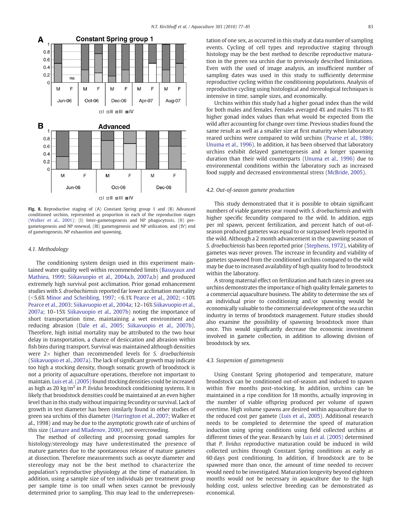<span id="page-7-0"></span>

Fig. 8. Reproductive staging of (A) Constant Spring group 1 and (B) Advanced conditioned urchins, represented as proportion in each of the reproduction stages [\(Walker et al., 2001\)](#page-9-0): (I) Inter-gametogenesis and NP phagocytosis, (II) pregametogenesis and NP renewal, (III) gametogenesis and NP utilization, and (IV) end of gametogenesis, NP exhaustion and spawning.

#### 4.1. Methodology

The conditioning system design used in this experiment maintained water quality well within recommended limits [\(Basuyaux and](#page-8-0) [Mathieu, 1999; Siikavuopio et al., 2004a,b, 2007a,b](#page-8-0)) and produced extremely high survival post acclimation. Prior gonad enhancement studies with S. droebachiensis reported far lower acclimation mortality ( $5.6\%$  [Minor and Scheibling, 1997;](#page-9-0)  $5.1\%$  [Pearce et al., 2002;](#page-9-0)  $510\%$ [Pearce et al., 2003; Siikavuopio et al., 2004a](#page-9-0); 12–16% [Siikavuopio et al.,](#page-9-0) [2007a;](#page-9-0) 10–15% [Siikavuopio et al., 2007b](#page-9-0)) noting the importance of short transportation time, maintaining a wet environment and reducing abrasion ([Dale et al., 2005; Siikavuopio et al., 2007b](#page-8-0)). Therefore, high initial mortality may be attributed to the two hour delay in transportation, a chance of desiccation and abrasion within fish bins during transport. Survival was maintained although densities were  $2\times$  higher than recommended levels for S. droebachiensis [\(Siikavuopio et al., 2007a\)](#page-9-0). The lack of significant growth may indicate too high a stocking density, though somatic growth of broodstock is not a priority of aquaculture operations, therefore not important to maintain. [Luis et al. \(2005\)](#page-8-0) found stocking densities could be increased as high as 20 kg/m<sup>2</sup> in *P. lividus* broodstock conditioning systems. It is likely that broodstock densities could be maintained at an even higher level than in this study without impairing fecundity or survival. Lack of growth in test diameter has been similarly found in other studies of green sea urchins of this diameter [\(Harrington et al., 2007](#page-8-0); Walker et al., 1998) and may be due to the asymptotic growth rate of urchins of this size ([Lamare and Mladenov, 2000\)](#page-8-0), not overcrowding.

The method of collecting and processing gonad samples for histology/stereology may have underestimated the presence of mature gametes due to the spontaneous release of mature gametes at dissection. Therefore measurements such as oocyte diameter and stereology may not be the best method to characterize the population's reproductive physiology at the time of maturation. In addition, using a sample size of ten individuals per treatment group per sample time is too small when sexes cannot be previously determined prior to sampling. This may lead to the underrepresentation of one sex, as occurred in this study at data number of sampling events. Cycling of cell types and reproductive staging through histology may be the best method to describe reproductive maturation in the green sea urchin due to previously described limitations. Even with the used of image analysis, an insufficient number of sampling dates was used in this study to sufficiently determine reproductive cycling within the conditioning populations. Analysis of reproductive cycling using histological and stereological techniques is intensive in time, sample sizes, and economically.

Urchins within this study had a higher gonad index than the wild for both males and females. Females averaged 4% and males 7% to 8% higher gonad index values than what would be expected from the wild after accounting for change over time. Previous studies found the same result as well as a smaller size at first maturity when laboratory reared urchins were compared to wild urchins [\(Pearse et al., 1986;](#page-9-0) [Unuma et al., 1996\)](#page-9-0). In addition, it has been observed that laboratory urchins exhibit delayed gametogenesis and a longer spawning duration than their wild counterparts ([Unuma et al., 1996](#page-9-0)) due to environmental conditions within the laboratory such as increased food supply and decreased environmental stress [\(McBride, 2005\)](#page-8-0).

#### 4.2. Out-of-season gamete production

This study demonstrated that it is possible to obtain significant numbers of viable gametes year round with S. droebachiensis and with higher specific fecundity compared to the wild. In addition, eggs per ml spawn, percent fertilization, and percent hatch of out-ofseason produced gametes was equal to or surpassed levels reported in the wild. Although a 2 month advancement in the spawning season of S. droebachiensis has been reported prior [\(Stephens, 1972](#page-9-0)), viability of gametes was never proven. The increase in fecundity and viability of gametes spawned from the conditioned urchins compared to the wild may be due to increased availability of high quality food to broodstock within the laboratory.

A strong maternal effect on fertilization and hatch rates in green sea urchins demonstrates the importance of high quality female gametes to a commercial aquaculture business. The ability to determine the sex of an individual prior to conditioning and/or spawning would be economically valuable to the commercial development of the sea urchin industry in terms of broodstock management. Future studies should also examine the possibility of spawning broodstock more than once. This would significantly decrease the economic investment involved in gamete collection, in addition to allowing division of broodstock by sex.

#### 4.3. Suspension of gametogenesis

Using Constant Spring photoperiod and temperature, mature broodstock can be conditioned out-of-season and induced to spawn within five months post-stocking. In addition, urchins can be maintained in a ripe condition for 18 months, actually improving in the number of viable offspring produced per volume of spawn overtime. High volume spawns are desired within aquaculture due to the reduced cost per gamete [\(Luis et al., 2005\)](#page-8-0). Additional research needs to be completed to determine the speed of maturation induction using spring conditions using field collected urchins at different times of the year. Research by [Luis et al. \(2005\)](#page-8-0) determined that P. lividus reproductive maturation could be induced in wild collected urchins through Constant Spring conditions as early as 60 days post conditioning. In addition, if broodstock are to be spawned more than once, the amount of time needed to recover would need to be investigated. Maturation longevity beyond eighteen months would not be necessary in aquaculture due to the high holding cost, unless selective breeding can be demonstrated as economical.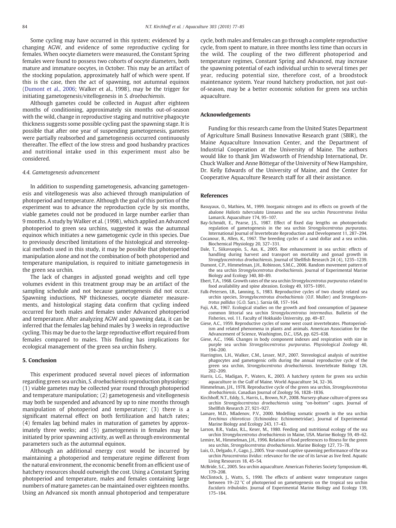<span id="page-8-0"></span>Some cycling may have occurred in this system; evidenced by a changing AGW, and evidence of some reproductive cycling for females. When oocyte diameters were measured, the Constant Spring females were found to possess two cohorts of oocyte diameters, both mature and immature oocytes, in October. This may be an artifact of the stocking population, approximately half of which were spent. If this is the case, then the act of spawning, not autumnal equinox (Dumont et al., 2006; Walker et al., 1998), may be the trigger for initiating gametogenesis/vitellogenesis in S. droebachiensis.

Although gametes could be collected in August after eighteen months of conditioning, approximately six months out-of-season with the wild, change in reproductive staging and nutritive phagocyte thickness suggests some possible cycling past the spawning stage. It is possible that after one year of suspending gametogenesis, gametes were partially reabsorbed and gametogenesis occurred continuously thereafter. The effect of the low stress and good husbandry practices and nutritional intake used in this experiment must also be considered.

#### 4.4. Gametogenesis advancement

In addition to suspending gametogenesis, advancing gametogenesis and vitellogenesis was also achieved through manipulation of photoperiod and temperature. Although the goal of this portion of the experiment was to advance the reproduction cycle by six months, viable gametes could not be produced in large number earlier than 9 months. A study by Walker et al. (1998), which applied an Advanced photoperiod to green sea urchins, suggested it was the autumnal equinox which initiates a new gametogenic cycle in this species. Due to previously described limitations of the histological and stereological methods used in this study, it may be possible that photoperiod manipulation alone and not the combination of both photoperiod and temperature manipulation, is required to initiate gametogenesis in the green sea urchin.

The lack of changes in adjusted gonad weights and cell type volumes evident in this treatment group may be an artifact of the sampling schedule and not because gametogenesis did not occur. Spawning inductions, NP thicknesses, oocyte diameter measurements, and histological staging data confirm that cycling indeed occurred for both males and females under Advanced photoperiod and temperature. After analyzing AGW and spawning data, it can be inferred that the females lag behind males by 3 weeks in reproductive cycling. This may be due to the large reproductive effort required from females compared to males. This finding has implications for ecological management of the green sea urchin fishery.

#### 5. Conclusion

This experiment produced several novel pieces of information regarding green sea urchin, S. droebachiensis reproduction physiology: (1) viable gametes may be collected year round through photoperiod and temperature manipulation; (2) gametogenesis and vitellogenesis may both be suspended and advanced by up to nine months through manipulation of photoperiod and temperature; (3) there is a significant maternal effect on both fertilization and hatch rates; (4) females lag behind males in maturation of gametes by approximately three weeks; and (5) gametogenesis in females may be initiated by prior spawning activity, as well as through environmental parameters such as the autumnal equinox.

Although an additional energy cost would be incurred by maintaining a photoperiod and temperature regime different from the natural environment, the economic benefit from an efficient use of hatchery resources should outweigh the cost. Using a Constant Spring photoperiod and temperature, males and females containing large numbers of mature gametes can be maintained over eighteen months. Using an Advanced six month annual photoperiod and temperature

cycle, both males and females can go through a complete reproductive cycle, from spent to mature, in three months less time than occurs in the wild. The coupling of the two different photoperiod and temperature regimes, Constant Spring and Advanced, may increase the spawning potential of each individual urchin to several times per year, reducing potential size, therefore cost, of a broodstock maintenance system. Year round hatchery production, not just outof-season, may be a better economic solution for green sea urchin aquaculture.

#### Acknowledgements

Funding for this research came from the United States Department of Agriculture Small Business Innovative Research grant (SBIR), the Maine Aquaculture Innovation Center, and the Department of Industrial Cooperation at the University of Maine. The authors would like to thank Jim Wadsworth of Friendship International, Dr. Chuck Walker and Anne Böttegar of the University of New Hampshire, Dr. Kelly Edwards of the University of Maine, and the Center for Cooperative Aquaculture Research staff for all their assistance.

#### References

- Basuyaux, O., Mathieu, M., 1999. Inorganic nitrogen and its effects on growth of the abalone Haliotis tuberculata Linnaeus and the sea urchin Paracentrotus lividus Lamarck. Aquaculture 174, 95–107.
- Bay-Schmidt, E., Pearse, J.S., 1987. Effect of fixed day lengths on photoperiodic regulation of gametogenesis in the sea urchin Strongylocentrotus purpuratus. International Journal of Invertebrate Reproduction and Development 11, 287–294.
- Cocanour, B., Allen, K., 1967. The breeding cycles of a sand dollar and a sea urchin. Biochemical Physiology 20, 327–331.
- Dale, T., Siikavuopio, S., Aas, K., 2005. Roe enhancement in sea urchin: effects of handling during harvest and transport on mortality and gonad growth in Stronglyocentrotus droebachiensis. Journal of Shellfish Research 24 (4), 1235–1239.
- Dumont, C.P., Himmelman, J.H., Robinson, S.M.C., 2006. Random movement pattern of the sea urchin Strongylocentrotus droebachiensis. Journal of Experimental Marine Biology and Ecology 340, 80–89.
- Ebert, T.A., 1968. Growth rates of the sea urchin Strongylocentrotus purpuratus related to food availability and spine abrasion. Ecology 49, 1075–1091.
- Falk-Petersen, I.B., Lønning, S., 1983. Reproductive cycles of two closely related sea urchin species, Strongylocentrotus droebachiensis (O.F. Muller) and Strongylocentrotus pallidus (G.O. Sars.). Sarsia 68, 157–164.
- Fuji, A.R., 1967. Ecological studies on the growth and food consumption of Japanese common littorial sea urchin Strongylocentrotus intermedius. Bulletin of the Fisheries, vol. 11. Faculty of Hokkaido University, pp. 49–87.
- Giese, A.C., 1959. Reproductive cycles of some west coast invertebrates. Photoperiodism and related phenomena in plants and animals. American Association for the Advancement of Science, Washington, D.C., USA, pp. 625–638.
- Giese, A.C., 1966. Changes in body component indexes and respiration with size in purple sea urchin Strongylocentrotus purpuratus. Physiological Zoology 40, 194–200.
- Harrington, L.H., Walker, C.M., Lesser, M.P., 2007. Stereological analysis of nutritive phagocytes and gametogenic cells during the annual reproductive cycle of the green sea urchin, Strongylocentrotus droebachiensis. Invertebrate Biology 126, 202–209.
- Harris, L.G., Madigan, P., Waters, K., 2003. A hatchery system for green sea urchin aquaculture in the Gulf of Maine. World Aquaculture 34, 32–36.
- Himmelman, J.H., 1978. Reproductive cycle of the green sea urchin, Strongylocentrotus droebachiensis. Canadian Journal of Zoology 56, 1828–1836.
- Kirchhoff, N.T., Eddy, S., Harris, L., Brown, N.P., 2008. Nursery-phase culture of green sea urchin Strongylocentrotus droebachiensis using "on-bottom" cages. Journal of Shellfish Research 27, 921–927.
- Lamare, M.D., Mladenov, P.V., 2000. Modelling somatic growth in the sea urchin Evechinus chloroticus (Echinoidea: Echinometridae). Journal of Experimental Marine Biology and Ecology 243, 17–43.
- Larson, B.R., Vadas, R.L., Keser, M., 1980. Feeding and nutritional ecology of the sea urchin Strongylocentrotus droebachiensis in Maine, USA. Marine Biology 59, 49–62.
- Lemire, M., Himmelman, J.H., 1996. Relation of food preferences to fitness for the green sea urchin, Strongylocentrotus droebachiensis. Marine Biology 127, 73–78.
- Luis, O., Delgado, F., Gago, J., 2005. Year-round captive spawning performance of the sea urchin Paracentrotus lividus: relevance for the use of its larvae as live feed. Aquatic Living Resources 18, 45–54.
- McBride, S.C., 2005. Sea urchin aquaculture. American Fisheries Society Symposium 46, 179–208.
- McClintock, J., Watts, S., 1990. The effects of ambient water temperature ranges between 19–22 °C of photoperiod on gametogenesis on the tropical sea urchin Eucidaris tribuloides. Journal of Experimental Marine Biology and Ecology 139, 175–184.